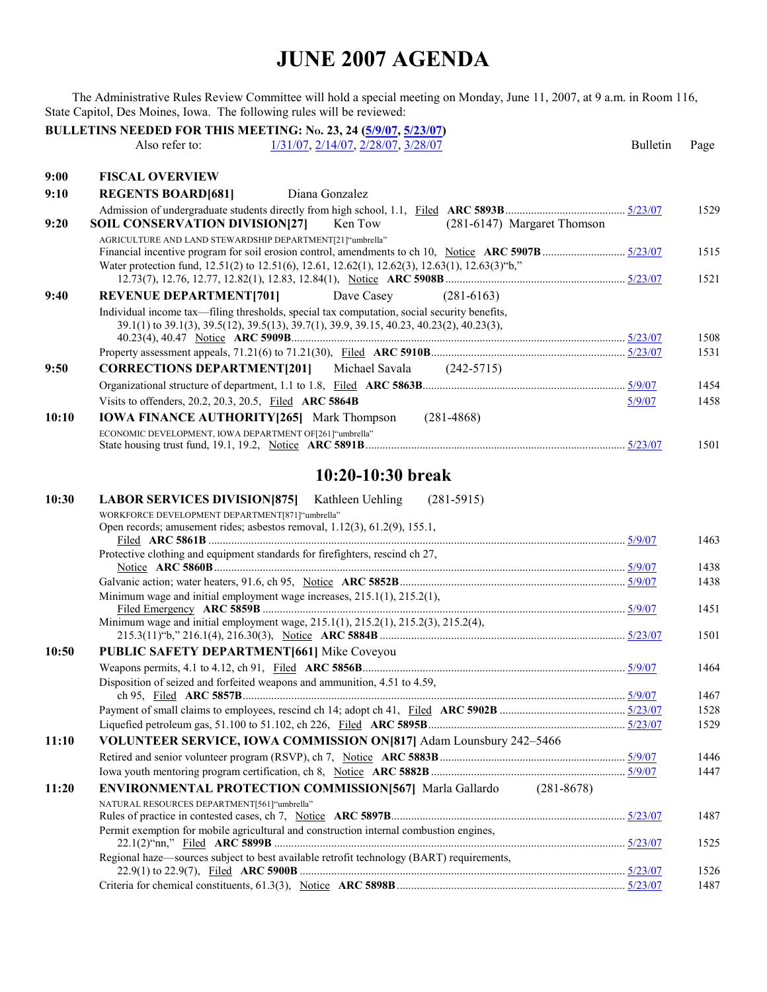The Administrative Rules Review Committee will hold a special meeting on Monday, June 11, 2007, at 9 a.m. in Room 116, State Capitol, Des Moines, Iowa. The following rules will be reviewed:

|       | <b>BULLETINS NEEDED FOR THIS MEETING: No. 23, 24 (5/9/07, 5/23/07)</b>                          |                 |      |
|-------|-------------------------------------------------------------------------------------------------|-----------------|------|
|       | 1/31/07, 2/14/07, 2/28/07, 3/28/07<br>Also refer to:                                            | <b>Bulletin</b> | Page |
| 9:00  | <b>FISCAL OVERVIEW</b>                                                                          |                 |      |
| 9:10  | <b>REGENTS BOARD[681]</b><br>Diana Gonzalez                                                     |                 |      |
|       |                                                                                                 |                 | 1529 |
| 9:20  | <b>SOIL CONSERVATION DIVISION[27]</b><br>Ken Tow<br>(281-6147) Margaret Thomson                 |                 |      |
|       | AGRICULTURE AND LAND STEWARDSHIP DEPARTMENT[21] "umbrella"                                      |                 |      |
|       |                                                                                                 |                 | 1515 |
|       | Water protection fund, 12.51(2) to 12.51(6), 12.61, 12.62(1), 12.62(3), 12.63(1), 12.63(3) "b," |                 | 1521 |
| 9:40  | <b>REVENUE DEPARTMENT[701]</b><br>Dave Casey<br>$(281-6163)$                                    |                 |      |
|       | Individual income tax—filing thresholds, special tax computation, social security benefits,     |                 |      |
|       | 39.1(1) to 39.1(3), 39.5(12), 39.5(13), 39.7(1), 39.9, 39.15, 40.23, 40.23(2), 40.23(3),        |                 |      |
|       |                                                                                                 |                 | 1508 |
|       |                                                                                                 |                 | 1531 |
| 9:50  | <b>CORRECTIONS DEPARTMENT[201]</b> Michael Savala (242-5715)                                    |                 |      |
|       |                                                                                                 |                 | 1454 |
|       | Visits to offenders, 20.2, 20.3, 20.5, Filed ARC 5864B                                          | 5/9/07          | 1458 |
| 10:10 | <b>IOWA FINANCE AUTHORITY [265]</b> Mark Thompson<br>$(281-4868)$                               |                 |      |
|       | ECONOMIC DEVELOPMENT, IOWA DEPARTMENT OF[261] "umbrella"                                        |                 | 1501 |
|       |                                                                                                 |                 |      |
|       | 10:20-10:30 break                                                                               |                 |      |
| 10:30 | <b>LABOR SERVICES DIVISION[875]</b><br>Kathleen Uehling<br>$(281-5915)$                         |                 |      |
|       | WORKFORCE DEVELOPMENT DEPARTMENT[871]"umbrella"                                                 |                 |      |
|       | Open records; amusement rides; asbestos removal, 1.12(3), 61.2(9), 155.1,                       |                 |      |
|       |                                                                                                 |                 | 1463 |
|       | Protective clothing and equipment standards for firefighters, rescind ch 27,                    |                 | 1438 |
|       |                                                                                                 |                 | 1438 |
|       | Minimum wage and initial employment wage increases, 215.1(1), 215.2(1),                         |                 |      |
|       |                                                                                                 |                 | 1451 |
|       | Minimum wage and initial employment wage, 215.1(1), 215.2(1), 215.2(3), 215.2(4),               |                 |      |
|       | PUBLIC SAFETY DEPARTMENT[661] Mike Coveyou                                                      |                 | 1501 |
| 10:50 |                                                                                                 |                 | 1464 |
|       | Disposition of seized and forfeited weapons and ammunition, 4.51 to 4.59,                       |                 |      |
|       |                                                                                                 |                 | 1467 |
|       |                                                                                                 |                 | 1528 |
|       |                                                                                                 |                 | 1529 |
| 11:10 | VOLUNTEER SERVICE, IOWA COMMISSION ON [817] Adam Lounsbury 242-5466                             |                 |      |
|       |                                                                                                 |                 | 1446 |
|       |                                                                                                 |                 | 1447 |
| 11:20 | <b>ENVIRONMENTAL PROTECTION COMMISSION[567]</b> Marla Gallardo<br>$(281 - 8678)$                |                 |      |
|       | NATURAL RESOURCES DEPARTMENT[561]"umbrella"                                                     |                 | 1487 |
|       | Permit exemption for mobile agricultural and construction internal combustion engines,          |                 |      |
|       |                                                                                                 |                 | 1525 |
|       | Regional haze—sources subject to best available retrofit technology (BART) requirements,        |                 |      |
|       |                                                                                                 |                 | 1526 |
|       |                                                                                                 |                 | 1487 |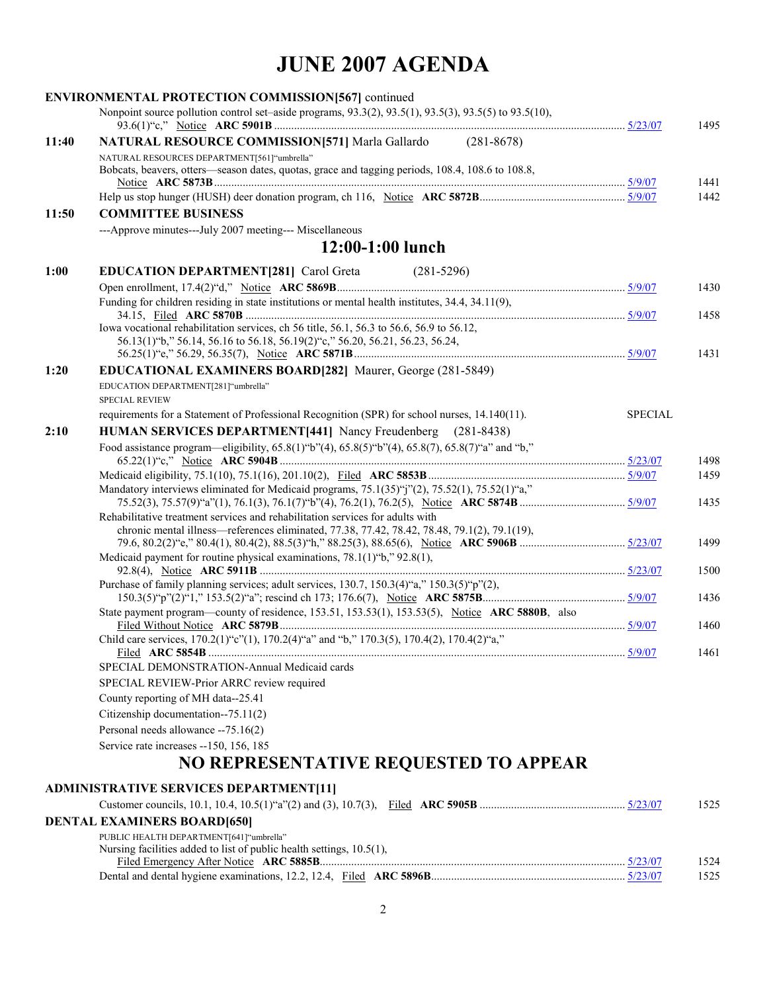|       | <b>ENVIRONMENTAL PROTECTION COMMISSION[567]</b> continued                                                                                       |                |      |
|-------|-------------------------------------------------------------------------------------------------------------------------------------------------|----------------|------|
|       | Nonpoint source pollution control set–aside programs, 93.3(2), 93.5(1), 93.5(3), 93.5(5) to 93.5(10),                                           |                | 1495 |
| 11:40 | <b>NATURAL RESOURCE COMMISSION[571]</b> Marla Gallardo (281-8678)                                                                               |                |      |
|       | NATURAL RESOURCES DEPARTMENT[561]"umbrella"<br>Bobcats, beavers, otters—season dates, quotas, grace and tagging periods, 108.4, 108.6 to 108.8, |                | 1441 |
|       |                                                                                                                                                 |                | 1442 |
| 11:50 | <b>COMMITTEE BUSINESS</b>                                                                                                                       |                |      |
|       | ---Approve minutes---July 2007 meeting--- Miscellaneous                                                                                         |                |      |
|       | 12:00-1:00 lunch                                                                                                                                |                |      |
| 1:00  | <b>EDUCATION DEPARTMENT[281] Carol Greta</b><br>$(281 - 5296)$                                                                                  |                |      |
|       |                                                                                                                                                 |                | 1430 |
|       | Funding for children residing in state institutions or mental health institutes, 34.4, 34.11(9),                                                |                | 1458 |
|       | Iowa vocational rehabilitation services, ch 56 title, 56.1, 56.3 to 56.6, 56.9 to 56.12,                                                        |                |      |
|       | 56.13(1) "b," 56.14, 56.16 to 56.18, 56.19(2) "c," 56.20, 56.21, 56.23, 56.24,                                                                  |                | 1431 |
| 1:20  | <b>EDUCATIONAL EXAMINERS BOARD[282]</b> Maurer, George (281-5849)                                                                               |                |      |
|       | EDUCATION DEPARTMENT[281]"umbrella"                                                                                                             |                |      |
|       | <b>SPECIAL REVIEW</b>                                                                                                                           |                |      |
|       | requirements for a Statement of Professional Recognition (SPR) for school nurses, 14.140(11).                                                   | <b>SPECIAL</b> |      |
| 2:10  | <b>HUMAN SERVICES DEPARTMENT[441]</b> Nancy Freudenberg (281-8438)                                                                              |                |      |
|       | Food assistance program—eligibility, 65.8(1)"b"(4), 65.8(5)"b"(4), 65.8(7), 65.8(7)"a" and "b,"                                                 |                | 1498 |
|       |                                                                                                                                                 |                | 1459 |
|       | Mandatory interviews eliminated for Medicaid programs, $75.1(35)$ "j"(2), $75.52(1)$ , $75.52(1)$ "a,"                                          |                | 1435 |
|       | Rehabilitative treatment services and rehabilitation services for adults with                                                                   |                |      |
|       | chronic mental illness—references eliminated, 77.38, 77.42, 78.42, 78.48, 79.1(2), 79.1(19),                                                    |                |      |
|       | Medicaid payment for routine physical examinations, $78.1(1)$ "b," $92.8(1)$ ,                                                                  |                | 1499 |
|       |                                                                                                                                                 |                | 1500 |
|       | Purchase of family planning services; adult services, 130.7, 150.3(4)"a," 150.3(5)"p"(2),                                                       |                |      |
|       |                                                                                                                                                 |                | 1436 |
|       | State payment program—county of residence, 153.51, 153.53(1), 153.53(5), Notice ARC 5880B, also                                                 |                | 1460 |
|       | Child care services, 170.2(1) "c"(1), 170.2(4) "a" and "b," 170.3(5), 170.4(2), 170.4(2) "a,"                                                   | 5/9/07         | 1461 |
|       | SPECIAL DEMONSTRATION-Annual Medicaid cards                                                                                                     |                |      |
|       | SPECIAL REVIEW-Prior ARRC review required                                                                                                       |                |      |
|       | County reporting of MH data--25.41                                                                                                              |                |      |
|       | Citizenship documentation--75.11(2)                                                                                                             |                |      |
|       | Personal needs allowance -- 75.16(2)                                                                                                            |                |      |
|       | Service rate increases -- 150, 156, 185                                                                                                         |                |      |
|       | NO REPRESENTATIVE REQUESTED TO APPEAR                                                                                                           |                |      |
|       | <b>ADMINISTRATIVE SERVICES DEPARTMENT[11]</b>                                                                                                   |                |      |
|       |                                                                                                                                                 |                | 1525 |
|       | <b>DENTAL EXAMINERS BOARD[650]</b>                                                                                                              |                |      |
|       | PUBLIC HEALTH DEPARTMENT[641]"umbrella"                                                                                                         |                |      |

| Nursing facilities added to list of public health settings, 10.5(1), |      |
|----------------------------------------------------------------------|------|
|                                                                      | 1524 |
|                                                                      | 1525 |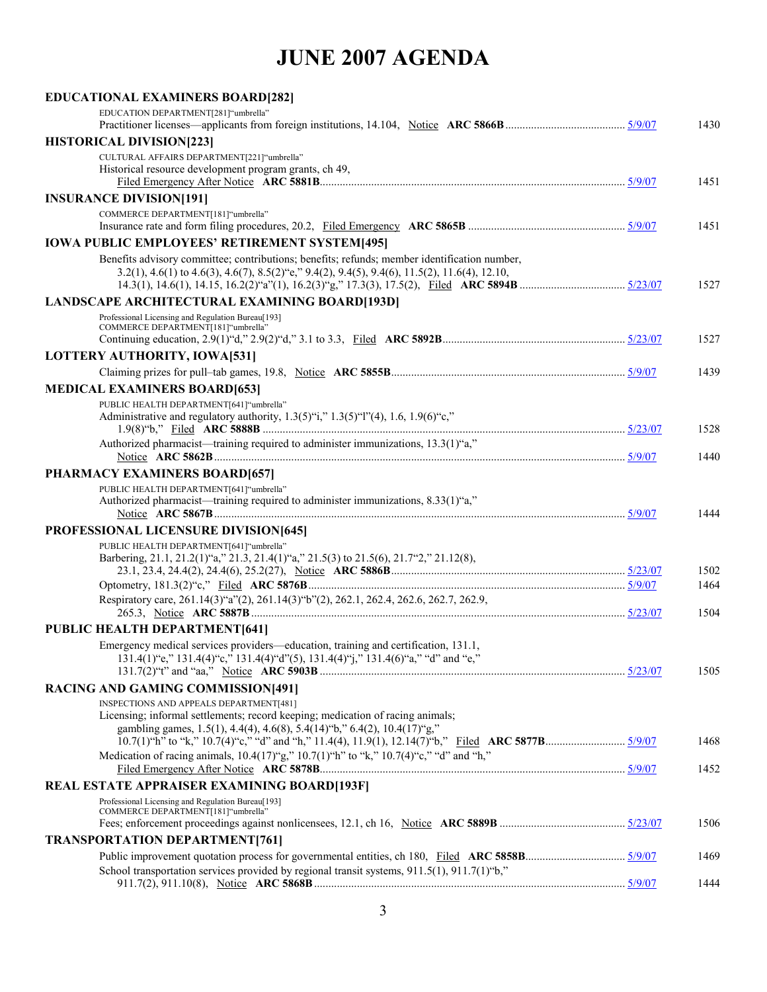| <b>EDUCATIONAL EXAMINERS BOARD[282]</b>                                                                                                                                                                                                             |              |
|-----------------------------------------------------------------------------------------------------------------------------------------------------------------------------------------------------------------------------------------------------|--------------|
| EDUCATION DEPARTMENT[281]"umbrella"                                                                                                                                                                                                                 | 1430         |
| <b>HISTORICAL DIVISION[223]</b>                                                                                                                                                                                                                     |              |
| CULTURAL AFFAIRS DEPARTMENT[221]"umbrella"                                                                                                                                                                                                          |              |
| Historical resource development program grants, ch 49,                                                                                                                                                                                              | 1451         |
| <b>INSURANCE DIVISION[191]</b>                                                                                                                                                                                                                      |              |
| COMMERCE DEPARTMENT[181]"umbrella"                                                                                                                                                                                                                  | 1451         |
| <b>IOWA PUBLIC EMPLOYEES' RETIREMENT SYSTEM[495]</b>                                                                                                                                                                                                |              |
| Benefits advisory committee; contributions; benefits; refunds; member identification number,<br>3.2(1), 4.6(1) to 4.6(3), 4.6(7), 8.5(2) "e," 9.4(2), 9.4(5), 9.4(6), 11.5(2), 11.6(4), 12.10,                                                      | 1527         |
| <b>LANDSCAPE ARCHITECTURAL EXAMINING BOARD[193D]</b>                                                                                                                                                                                                |              |
| Professional Licensing and Regulation Bureau[193]<br>COMMERCE DEPARTMENT[181]"umbrella"                                                                                                                                                             | 1527         |
| LOTTERY AUTHORITY, IOWA[531]                                                                                                                                                                                                                        |              |
|                                                                                                                                                                                                                                                     | 1439         |
| <b>MEDICAL EXAMINERS BOARD[653]</b>                                                                                                                                                                                                                 |              |
| PUBLIC HEALTH DEPARTMENT[641]"umbrella"<br>Administrative and regulatory authority, $1.3(5)$ "i," $1.3(5)$ "l"(4), $1.6$ , $1.9(6)$ "c,"                                                                                                            |              |
| Authorized pharmacist—training required to administer immunizations, 13.3(1)"a,"                                                                                                                                                                    | 1528<br>1440 |
| PHARMACY EXAMINERS BOARD[657]                                                                                                                                                                                                                       |              |
| PUBLIC HEALTH DEPARTMENT[641] "umbrella"                                                                                                                                                                                                            |              |
| Authorized pharmacist—training required to administer immunizations, 8.33(1)"a,"                                                                                                                                                                    | 1444         |
| <b>PROFESSIONAL LICENSURE DIVISION[645]</b>                                                                                                                                                                                                         |              |
| PUBLIC HEALTH DEPARTMENT[641]"umbrella"<br>Barbering, 21.1, 21.2(1)"a," 21.3, 21.4(1)"a," 21.5(3) to 21.5(6), 21.7"2," 21.12(8),                                                                                                                    |              |
|                                                                                                                                                                                                                                                     | 1502<br>1464 |
| Respiratory care, 261.14(3)"a"(2), 261.14(3)"b"(2), 262.1, 262.4, 262.6, 262.7, 262.9,                                                                                                                                                              |              |
|                                                                                                                                                                                                                                                     | 1504         |
| <b>PUBLIC HEALTH DEPARTMENT[641]</b>                                                                                                                                                                                                                |              |
| Emergency medical services providers—education, training and certification, 131.1,<br>131.4(1) "e," 131.4(4) "c," 131.4(4) "d"(5), 131.4(4) "j," 131.4(6) "a," "d" and "e,"                                                                         |              |
|                                                                                                                                                                                                                                                     | 1505         |
| <b>RACING AND GAMING COMMISSION[491]</b><br>INSPECTIONS AND APPEALS DEPARTMENT[481]<br>Licensing; informal settlements; record keeping; medication of racing animals;<br>gambling games, 1.5(1), 4.4(4), 4.6(8), 5.4(14) "b," 6.4(2), 10.4(17) "g," |              |
| Medication of racing animals, $10.4(17)$ "g," $10.7(1)$ "h" to "k," $10.7(4)$ "c," "d" and "h,"                                                                                                                                                     | 1468         |
|                                                                                                                                                                                                                                                     | 1452         |
| <b>REAL ESTATE APPRAISER EXAMINING BOARD[193F]</b>                                                                                                                                                                                                  |              |
| Professional Licensing and Regulation Bureau[193]<br>COMMERCE DEPARTMENT[181] "umbrella"                                                                                                                                                            | 1506         |
| <b>TRANSPORTATION DEPARTMENT[761]</b>                                                                                                                                                                                                               |              |
|                                                                                                                                                                                                                                                     | 1469         |
| School transportation services provided by regional transit systems, 911.5(1), 911.7(1) "b,"                                                                                                                                                        |              |
|                                                                                                                                                                                                                                                     | 1444         |